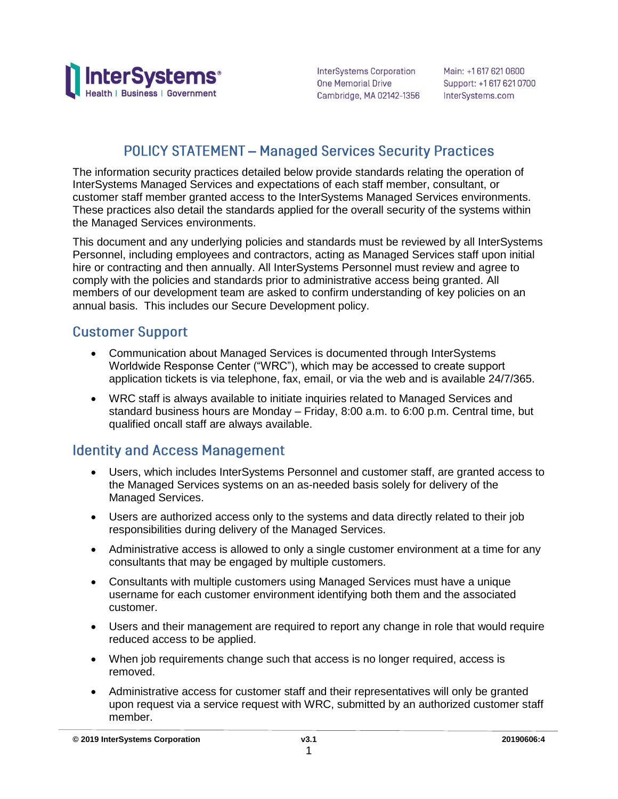

InterSystems Corporation **One Memorial Drive** Cambridge, MA 02142-1356

Main: +1 617 621 0600 Support: +1 617 621 0700 InterSystems.com

### **POLICY STATEMENT - Managed Services Security Practices**

The information security practices detailed below provide standards relating the operation of InterSystems Managed Services and expectations of each staff member, consultant, or customer staff member granted access to the InterSystems Managed Services environments. These practices also detail the standards applied for the overall security of the systems within the Managed Services environments.

This document and any underlying policies and standards must be reviewed by all InterSystems Personnel, including employees and contractors, acting as Managed Services staff upon initial hire or contracting and then annually. All InterSystems Personnel must review and agree to comply with the policies and standards prior to administrative access being granted. All members of our development team are asked to confirm understanding of key policies on an annual basis. This includes our Secure Development policy.

#### **Customer Support**

- Communication about Managed Services is documented through InterSystems Worldwide Response Center ("WRC"), which may be accessed to create support application tickets is via telephone, fax, email, or via the web and is available 24/7/365.
- WRC staff is always available to initiate inquiries related to Managed Services and standard business hours are Monday – Friday, 8:00 a.m. to 6:00 p.m. Central time, but qualified oncall staff are always available.

### **Identity and Access Management**

- Users, which includes InterSystems Personnel and customer staff, are granted access to the Managed Services systems on an as-needed basis solely for delivery of the Managed Services.
- Users are authorized access only to the systems and data directly related to their job responsibilities during delivery of the Managed Services.
- Administrative access is allowed to only a single customer environment at a time for any consultants that may be engaged by multiple customers.
- Consultants with multiple customers using Managed Services must have a unique username for each customer environment identifying both them and the associated customer.
- Users and their management are required to report any change in role that would require reduced access to be applied.
- When job requirements change such that access is no longer required, access is removed.
- Administrative access for customer staff and their representatives will only be granted upon request via a service request with WRC, submitted by an authorized customer staff member.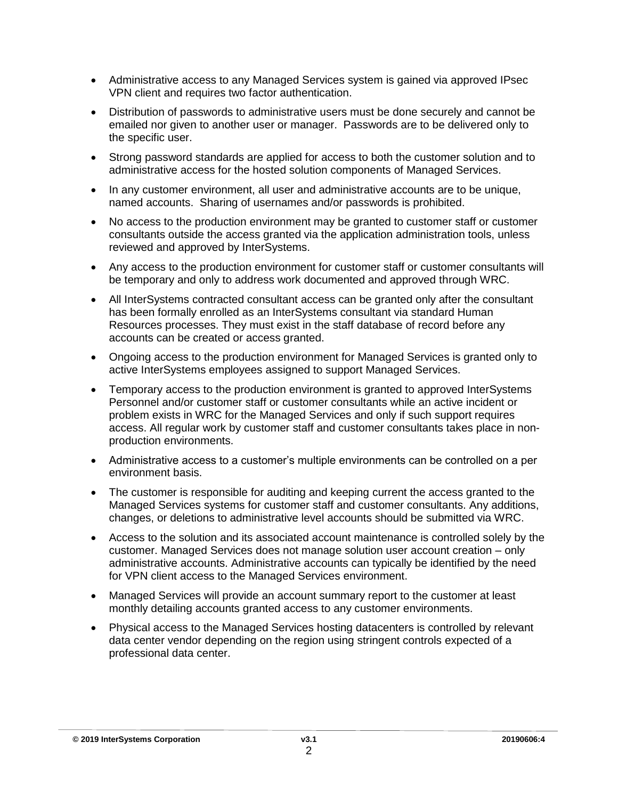- Administrative access to any Managed Services system is gained via approved IPsec VPN client and requires two factor authentication.
- Distribution of passwords to administrative users must be done securely and cannot be emailed nor given to another user or manager. Passwords are to be delivered only to the specific user.
- Strong password standards are applied for access to both the customer solution and to administrative access for the hosted solution components of Managed Services.
- In any customer environment, all user and administrative accounts are to be unique, named accounts. Sharing of usernames and/or passwords is prohibited.
- No access to the production environment may be granted to customer staff or customer consultants outside the access granted via the application administration tools, unless reviewed and approved by InterSystems.
- Any access to the production environment for customer staff or customer consultants will be temporary and only to address work documented and approved through WRC.
- All InterSystems contracted consultant access can be granted only after the consultant has been formally enrolled as an InterSystems consultant via standard Human Resources processes. They must exist in the staff database of record before any accounts can be created or access granted.
- Ongoing access to the production environment for Managed Services is granted only to active InterSystems employees assigned to support Managed Services.
- Temporary access to the production environment is granted to approved InterSystems Personnel and/or customer staff or customer consultants while an active incident or problem exists in WRC for the Managed Services and only if such support requires access. All regular work by customer staff and customer consultants takes place in nonproduction environments.
- Administrative access to a customer's multiple environments can be controlled on a per environment basis.
- The customer is responsible for auditing and keeping current the access granted to the Managed Services systems for customer staff and customer consultants. Any additions, changes, or deletions to administrative level accounts should be submitted via WRC.
- Access to the solution and its associated account maintenance is controlled solely by the customer. Managed Services does not manage solution user account creation – only administrative accounts. Administrative accounts can typically be identified by the need for VPN client access to the Managed Services environment.
- Managed Services will provide an account summary report to the customer at least monthly detailing accounts granted access to any customer environments.
- Physical access to the Managed Services hosting datacenters is controlled by relevant data center vendor depending on the region using stringent controls expected of a professional data center.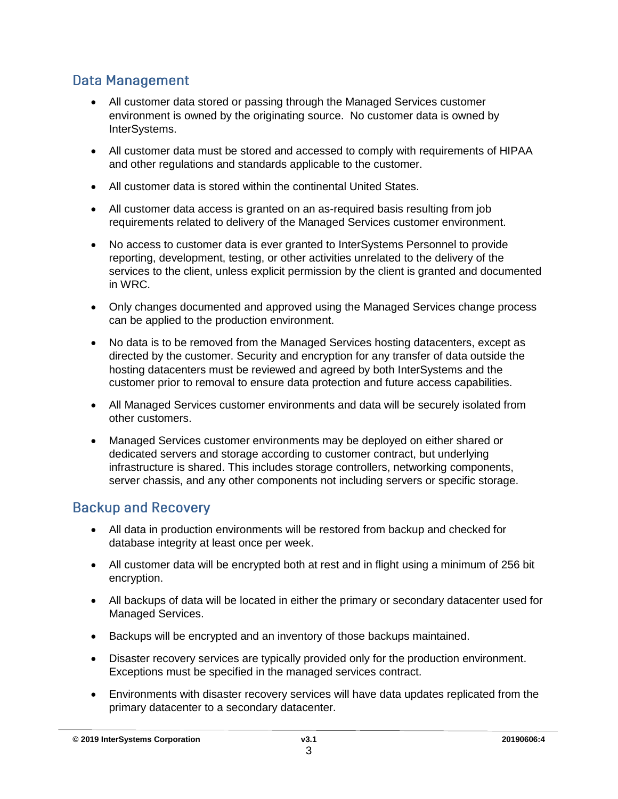## **Data Management**

- All customer data stored or passing through the Managed Services customer environment is owned by the originating source. No customer data is owned by InterSystems.
- All customer data must be stored and accessed to comply with requirements of HIPAA and other regulations and standards applicable to the customer.
- All customer data is stored within the continental United States.
- All customer data access is granted on an as-required basis resulting from job requirements related to delivery of the Managed Services customer environment.
- No access to customer data is ever granted to InterSystems Personnel to provide reporting, development, testing, or other activities unrelated to the delivery of the services to the client, unless explicit permission by the client is granted and documented in WRC.
- Only changes documented and approved using the Managed Services change process can be applied to the production environment.
- No data is to be removed from the Managed Services hosting datacenters, except as directed by the customer. Security and encryption for any transfer of data outside the hosting datacenters must be reviewed and agreed by both InterSystems and the customer prior to removal to ensure data protection and future access capabilities.
- All Managed Services customer environments and data will be securely isolated from other customers.
- Managed Services customer environments may be deployed on either shared or dedicated servers and storage according to customer contract, but underlying infrastructure is shared. This includes storage controllers, networking components, server chassis, and any other components not including servers or specific storage.

## **Backup and Recovery**

- All data in production environments will be restored from backup and checked for database integrity at least once per week.
- All customer data will be encrypted both at rest and in flight using a minimum of 256 bit encryption.
- All backups of data will be located in either the primary or secondary datacenter used for Managed Services.
- Backups will be encrypted and an inventory of those backups maintained.
- Disaster recovery services are typically provided only for the production environment. Exceptions must be specified in the managed services contract.
- Environments with disaster recovery services will have data updates replicated from the primary datacenter to a secondary datacenter.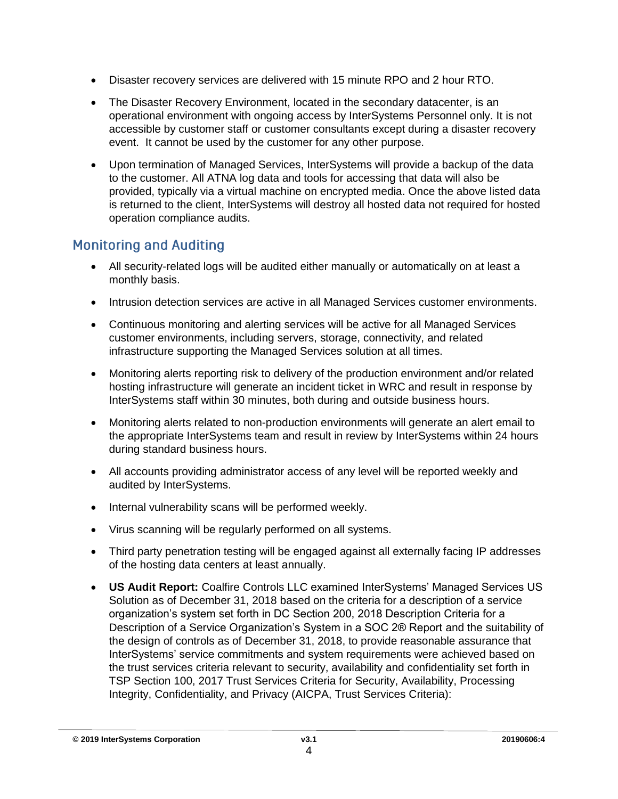- Disaster recovery services are delivered with 15 minute RPO and 2 hour RTO.
- The Disaster Recovery Environment, located in the secondary datacenter, is an operational environment with ongoing access by InterSystems Personnel only. It is not accessible by customer staff or customer consultants except during a disaster recovery event. It cannot be used by the customer for any other purpose.
- Upon termination of Managed Services, InterSystems will provide a backup of the data to the customer. All ATNA log data and tools for accessing that data will also be provided, typically via a virtual machine on encrypted media. Once the above listed data is returned to the client, InterSystems will destroy all hosted data not required for hosted operation compliance audits.

## **Monitoring and Auditing**

- All security-related logs will be audited either manually or automatically on at least a monthly basis.
- Intrusion detection services are active in all Managed Services customer environments.
- Continuous monitoring and alerting services will be active for all Managed Services customer environments, including servers, storage, connectivity, and related infrastructure supporting the Managed Services solution at all times.
- Monitoring alerts reporting risk to delivery of the production environment and/or related hosting infrastructure will generate an incident ticket in WRC and result in response by InterSystems staff within 30 minutes, both during and outside business hours.
- Monitoring alerts related to non-production environments will generate an alert email to the appropriate InterSystems team and result in review by InterSystems within 24 hours during standard business hours.
- All accounts providing administrator access of any level will be reported weekly and audited by InterSystems.
- Internal vulnerability scans will be performed weekly.
- Virus scanning will be regularly performed on all systems.
- Third party penetration testing will be engaged against all externally facing IP addresses of the hosting data centers at least annually.
- **US Audit Report:** Coalfire Controls LLC examined InterSystems' Managed Services US Solution as of December 31, 2018 based on the criteria for a description of a service organization's system set forth in DC Section 200, 2018 Description Criteria for a Description of a Service Organization's System in a SOC 2® Report and the suitability of the design of controls as of December 31, 2018, to provide reasonable assurance that InterSystems' service commitments and system requirements were achieved based on the trust services criteria relevant to security, availability and confidentiality set forth in TSP Section 100, 2017 Trust Services Criteria for Security, Availability, Processing Integrity, Confidentiality, and Privacy (AICPA, Trust Services Criteria):